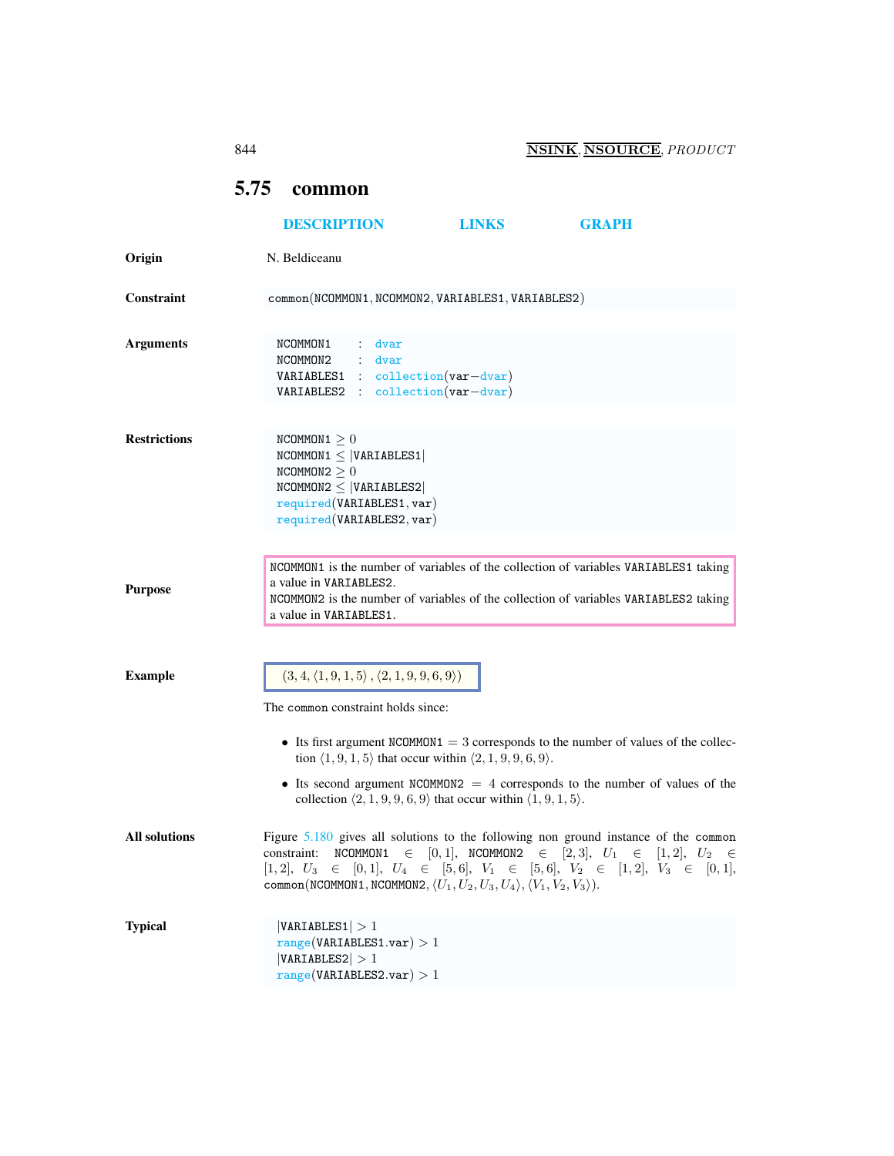## <span id="page-0-0"></span>5.75 common

|                      | <b>DESCRIPTION</b>                                                                                                                                                                                                                                                                                | <b>LINKS</b> | <b>GRAPH</b>                                                              |
|----------------------|---------------------------------------------------------------------------------------------------------------------------------------------------------------------------------------------------------------------------------------------------------------------------------------------------|--------------|---------------------------------------------------------------------------|
| Origin               | N. Beldiceanu                                                                                                                                                                                                                                                                                     |              |                                                                           |
| Constraint           | common(NCOMMON1, NCOMMON2, VARIABLES1, VARIABLES2)                                                                                                                                                                                                                                                |              |                                                                           |
|                      |                                                                                                                                                                                                                                                                                                   |              |                                                                           |
| <b>Arguments</b>     | NCOMMON1<br>: dvar<br>NCOMMON2<br>$:$ dvar<br>$VARIABLES1 : collection(var-dvar)$<br>VARIABLES2 : collection(var-dvar)                                                                                                                                                                            |              |                                                                           |
| <b>Restrictions</b>  | NCOMMON $1 \geq 0$<br>$NCOMMON1 \leq  VARIABLES1 $<br>NCOMMON2 > 0<br>$NCOMMON2 \leq  VARIABLES2 $<br>required(VARIABLES1, var)<br>required(VARIABLES2, var)                                                                                                                                      |              |                                                                           |
| <b>Purpose</b>       | NCOMMON1 is the number of variables of the collection of variables VARIABLES1 taking<br>a value in VARIABLES2.<br>NCOMMON2 is the number of variables of the collection of variables VARIABLES2 taking<br>a value in VARIABLES1.                                                                  |              |                                                                           |
| <b>Example</b>       | $(3, 4, \langle 1, 9, 1, 5 \rangle, \langle 2, 1, 9, 9, 6, 9 \rangle)$<br>The common constraint holds since:                                                                                                                                                                                      |              |                                                                           |
|                      | • Its first argument NCOMMON1 = $3$ corresponds to the number of values of the collec-<br>tion $\langle 1, 9, 1, 5 \rangle$ that occur within $\langle 2, 1, 9, 9, 6, 9 \rangle$ .                                                                                                                |              |                                                                           |
|                      | • Its second argument NCOMMON2 $=$ 4 corresponds to the number of values of the<br>collection $\langle 2, 1, 9, 9, 6, 9 \rangle$ that occur within $\langle 1, 9, 1, 5 \rangle$ .                                                                                                                 |              |                                                                           |
| <b>All solutions</b> | Figure 5.180 gives all solutions to the following non ground instance of the common<br>constraint:<br>$[1,2], U_3 \in [0,1], U_4 \in [5,6], V_1 \in [5,6], V_2 \in [1,2], V_3 \in [0,1],$<br>common(NCOMMON1, NCOMMON2, $\langle U_1, U_2, U_3, U_4 \rangle$ , $\langle V_1, V_2, V_3 \rangle$ ). |              | NCOMMON1 $\in$ [0, 1], NCOMMON2 $\in$ [2, 3], $U_1 \in$ [1, 2], $U_2 \in$ |
| <b>Typical</b>       | VARIABLES1  > 1<br>range(VARIABLES1.var) > 1<br> VARIABLES2  > 1<br>range(VARIABLES2.var) > 1                                                                                                                                                                                                     |              |                                                                           |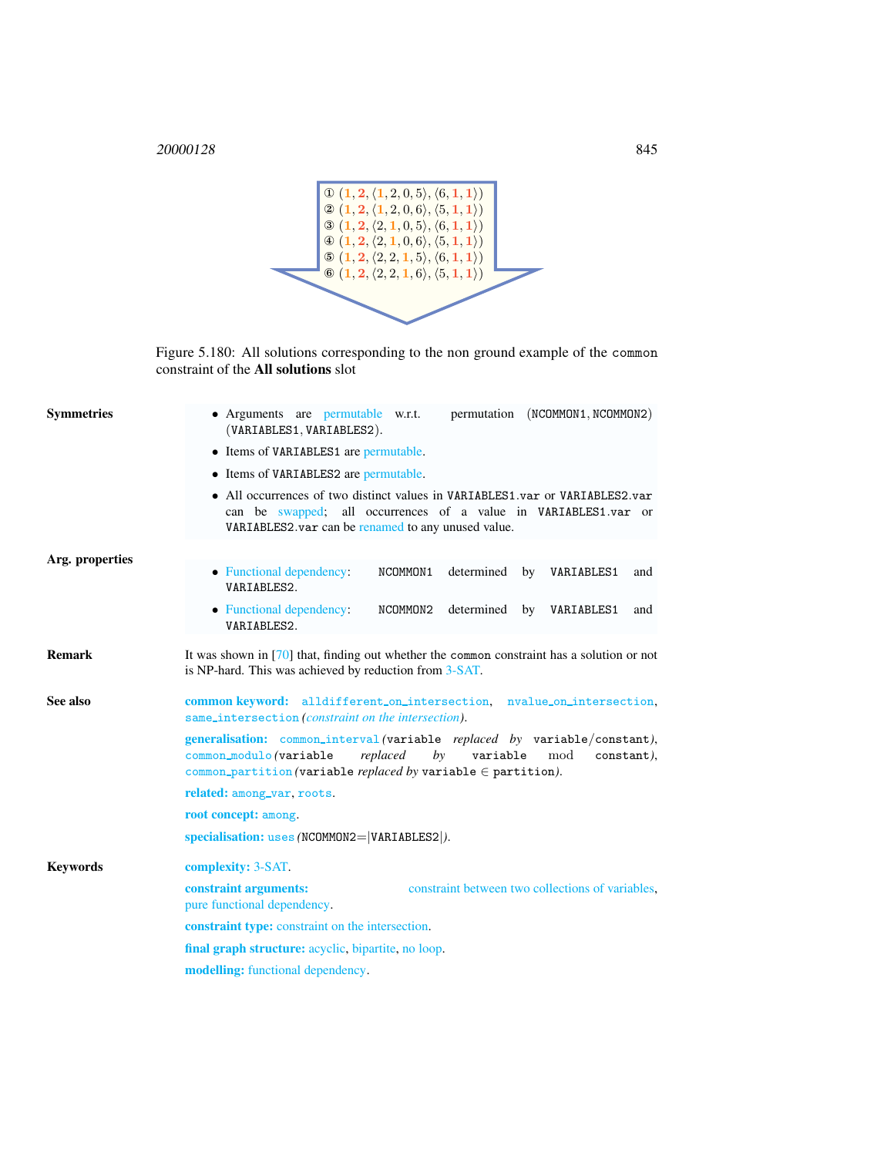

<span id="page-1-1"></span>Figure 5.180: All solutions corresponding to the non ground example of the common constraint of the All solutions slot

<span id="page-1-0"></span>

| <b>Symmetries</b> | • Arguments are permutable w.r.t.<br>permutation (NCOMMON1, NCOMMON2)<br>(VARIABLES1, VARIABLES2).                                                                                                                                   |  |  |
|-------------------|--------------------------------------------------------------------------------------------------------------------------------------------------------------------------------------------------------------------------------------|--|--|
|                   | • Items of VARIABLES1 are permutable.<br>• Items of VARIABLES2 are permutable.                                                                                                                                                       |  |  |
|                   |                                                                                                                                                                                                                                      |  |  |
|                   | Arg. properties                                                                                                                                                                                                                      |  |  |
|                   | • Functional dependency:<br>NCOMMON1<br>determined by VARIABLES1<br>and<br>VARIABLES2.                                                                                                                                               |  |  |
|                   | determined by VARIABLES1<br>• Functional dependency:<br>NCOMMON2<br>and<br>VARIABLES2.                                                                                                                                               |  |  |
| <b>Remark</b>     | It was shown in $[70]$ that, finding out whether the common constraint has a solution or not<br>is NP-hard. This was achieved by reduction from 3-SAT.                                                                               |  |  |
| See also          | common keyword: alldifferent_on_intersection, nvalue_on_intersection,<br>same_intersection(constraint on the intersection).                                                                                                          |  |  |
|                   | generalisation: common_interval(variable replaced by variable/constant),<br>replaced<br>$b$ y<br>variable<br>common_modulo(variable<br>mod<br>constant),<br>common_partition (variable <i>replaced by</i> variable $\in$ partition). |  |  |
|                   | related: among_var, roots.                                                                                                                                                                                                           |  |  |
|                   | root concept: among.                                                                                                                                                                                                                 |  |  |
|                   | $specialisation: uses (NCOMMON2= VARIABLES2 ).$                                                                                                                                                                                      |  |  |
| <b>Keywords</b>   | <b>complexity: 3-SAT.</b>                                                                                                                                                                                                            |  |  |
|                   | constraint arguments:<br>constraint between two collections of variables.<br>pure functional dependency.                                                                                                                             |  |  |
|                   | constraint type: constraint on the intersection.                                                                                                                                                                                     |  |  |
|                   | final graph structure: acyclic, bipartite, no loop.                                                                                                                                                                                  |  |  |
|                   | <b>modelling:</b> functional dependency.                                                                                                                                                                                             |  |  |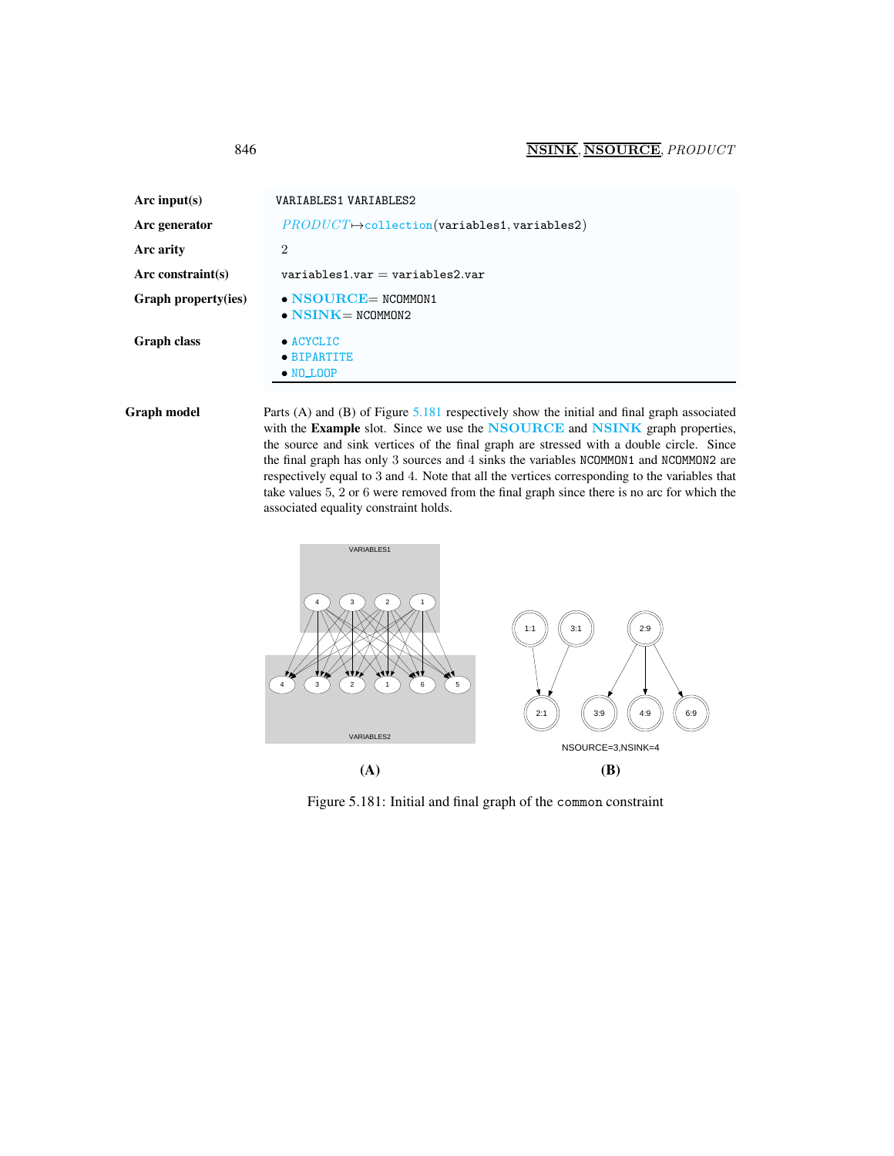<span id="page-2-0"></span>

| Arc input(s)        | VARIABLES1 VARIABLES2                                     |
|---------------------|-----------------------------------------------------------|
| Arc generator       | $PRODUCT \rightarrow collection(variables1, variables2)$  |
| Arc arity           | $\overline{2}$                                            |
| Arc constraint(s)   | $variable$ s1.var = variables2.var                        |
| Graph property(ies) | $\bullet$ NSOURCE= NCOMMON1<br>$\bullet$ NSINK = NCOMMON2 |
| <b>Graph class</b>  | $\bullet$ ACYCLIC<br>• BIPARTITE<br>$\bullet$ NO LOOP     |

Graph model Parts (A) and (B) of Figure [5.181](#page-2-1) respectively show the initial and final graph associated with the Example slot. Since we use the NSOURCE and NSINK graph properties, the source and sink vertices of the final graph are stressed with a double circle. Since the final graph has only 3 sources and 4 sinks the variables NCOMMON1 and NCOMMON2 are respectively equal to 3 and 4. Note that all the vertices corresponding to the variables that take values 5, 2 or 6 were removed from the final graph since there is no arc for which the associated equality constraint holds.



<span id="page-2-1"></span>Figure 5.181: Initial and final graph of the common constraint